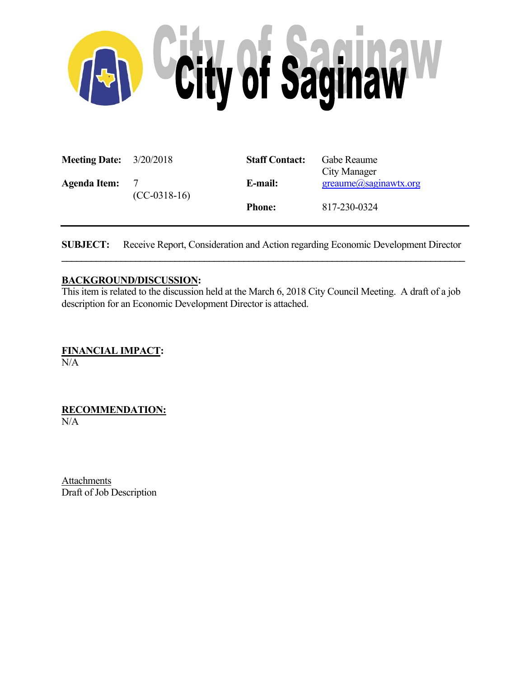

| <b>Meeting Date:</b> $3/20/2018$ |                                 | <b>Staff Contact:</b> | Gabe Reaume<br>City Manager     |
|----------------------------------|---------------------------------|-----------------------|---------------------------------|
| <b>Agenda Item:</b>              | $\mathcal{L}$<br>$(CC-0318-16)$ | E-mail:               | $green$ ume $(a)$ saginawtx.org |
|                                  |                                 | <b>Phone:</b>         | 817-230-0324                    |

**SUBJECT:** Receive Report, Consideration and Action regarding Economic Development Director  $\mathcal{L} = \{ \mathcal{L} \mathcal{L} \mathcal{L} \mathcal{L} \mathcal{L} \mathcal{L} \mathcal{L} \mathcal{L} \mathcal{L} \mathcal{L} \mathcal{L} \mathcal{L} \mathcal{L} \mathcal{L} \mathcal{L} \mathcal{L} \mathcal{L} \mathcal{L} \mathcal{L} \mathcal{L} \mathcal{L} \mathcal{L} \mathcal{L} \mathcal{L} \mathcal{L} \mathcal{L} \mathcal{L} \mathcal{L} \mathcal{L} \mathcal{L} \mathcal{L} \mathcal{L} \mathcal{L} \mathcal{L} \mathcal{L} \$ 

# **BACKGROUND/DISCUSSION:**

This item is related to the discussion held at the March 6, 2018 City Council Meeting. A draft of a job description for an Economic Development Director is attached.

**FINANCIAL IMPACT:**  N/A

**RECOMMENDATION:**  N/A

**Attachments** Draft of Job Description